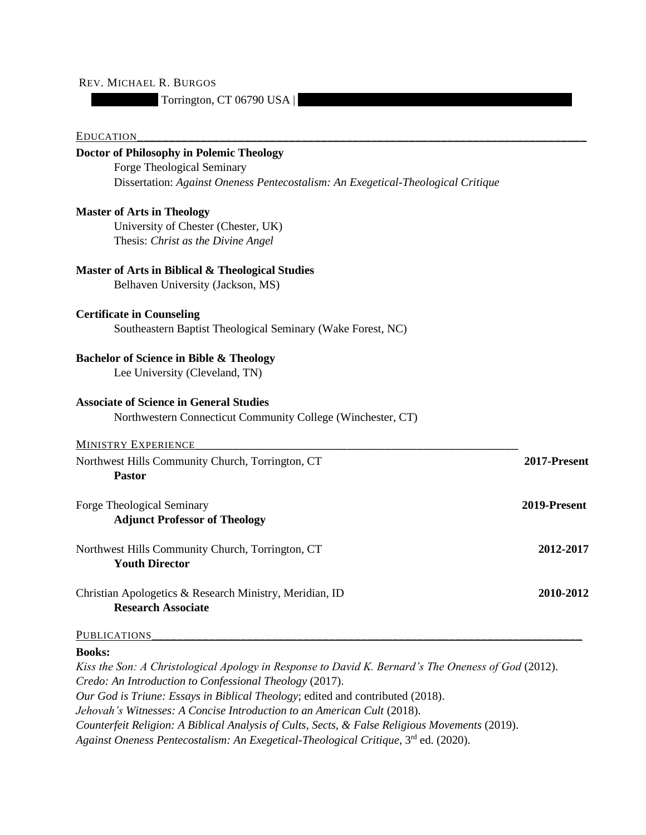## REV. MICHAEL R. BURGOS

Torrington, CT 06790 USA |

## EDUCATION

| <b>Doctor of Philosophy in Polemic Theology</b>                                  |              |
|----------------------------------------------------------------------------------|--------------|
| Forge Theological Seminary                                                       |              |
| Dissertation: Against Oneness Pentecostalism: An Exegetical-Theological Critique |              |
| <b>Master of Arts in Theology</b>                                                |              |
| University of Chester (Chester, UK)                                              |              |
| Thesis: Christ as the Divine Angel                                               |              |
| Master of Arts in Biblical & Theological Studies                                 |              |
| Belhaven University (Jackson, MS)                                                |              |
| <b>Certificate in Counseling</b>                                                 |              |
| Southeastern Baptist Theological Seminary (Wake Forest, NC)                      |              |
| <b>Bachelor of Science in Bible &amp; Theology</b>                               |              |
| Lee University (Cleveland, TN)                                                   |              |
| <b>Associate of Science in General Studies</b>                                   |              |
| Northwestern Connecticut Community College (Winchester, CT)                      |              |
| <b>MINISTRY EXPERIENCE</b>                                                       |              |
| Northwest Hills Community Church, Torrington, CT                                 | 2017-Present |
| <b>Pastor</b>                                                                    |              |
| <b>Forge Theological Seminary</b>                                                | 2019-Present |
| <b>Adjunct Professor of Theology</b>                                             |              |
| Northwest Hills Community Church, Torrington, CT                                 | 2012-2017    |
| <b>Youth Director</b>                                                            |              |
| Christian Apologetics & Research Ministry, Meridian, ID                          | 2010-2012    |
| <b>Research Associate</b>                                                        |              |
| <b>PUBLICATIONS</b>                                                              |              |
|                                                                                  |              |

## **Books:**

*Kiss the Son: A Christological Apology in Response to David K. Bernard's The Oneness of God* (2012). *Credo: An Introduction to Confessional Theology* (2017). *Our God is Triune: Essays in Biblical Theology*; edited and contributed (2018). *Jehovah's Witnesses: A Concise Introduction to an American Cult* (2018). *Counterfeit Religion: A Biblical Analysis of Cults, Sects, & False Religious Movements* (2019). *Against Oneness Pentecostalism: An Exegetical-Theological Critique*, 3rd ed. (2020).